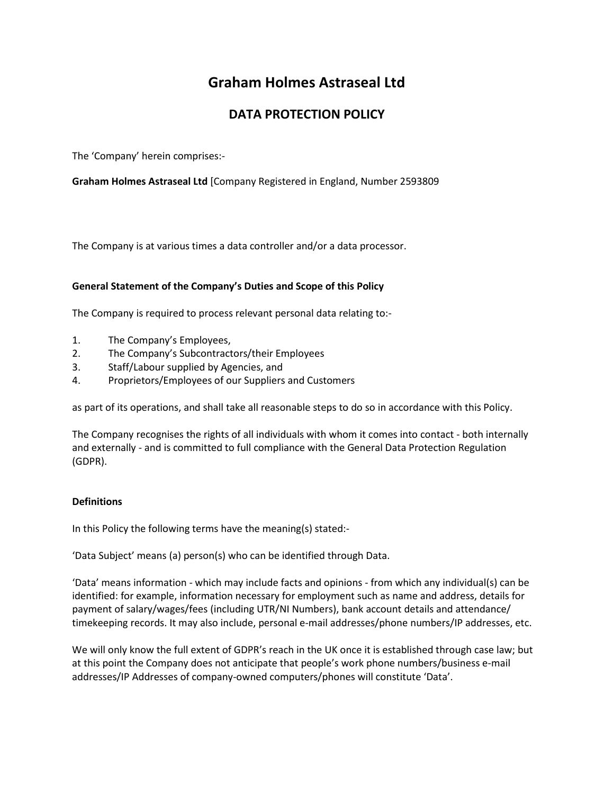# **Graham Holmes Astraseal Ltd**

# **DATA PROTECTION POLICY**

The 'Company' herein comprises:-

**Graham Holmes Astraseal Ltd** [Company Registered in England, Number 2593809

The Company is at various times a data controller and/or a data processor.

# **General Statement of the Company's Duties and Scope of this Policy**

The Company is required to process relevant personal data relating to:-

- 1. The Company's Employees,
- 2. The Company's Subcontractors/their Employees
- 3. Staff/Labour supplied by Agencies, and
- 4. Proprietors/Employees of our Suppliers and Customers

as part of its operations, and shall take all reasonable steps to do so in accordance with this Policy.

The Company recognises the rights of all individuals with whom it comes into contact - both internally and externally - and is committed to full compliance with the General Data Protection Regulation (GDPR).

# **Definitions**

In this Policy the following terms have the meaning(s) stated:-

'Data Subject' means (a) person(s) who can be identified through Data.

'Data' means information - which may include facts and opinions - from which any individual(s) can be identified: for example, information necessary for employment such as name and address, details for payment of salary/wages/fees (including UTR/NI Numbers), bank account details and attendance/ timekeeping records. It may also include, personal e-mail addresses/phone numbers/IP addresses, etc.

We will only know the full extent of GDPR's reach in the UK once it is established through case law; but at this point the Company does not anticipate that people's work phone numbers/business e-mail addresses/IP Addresses of company-owned computers/phones will constitute 'Data'.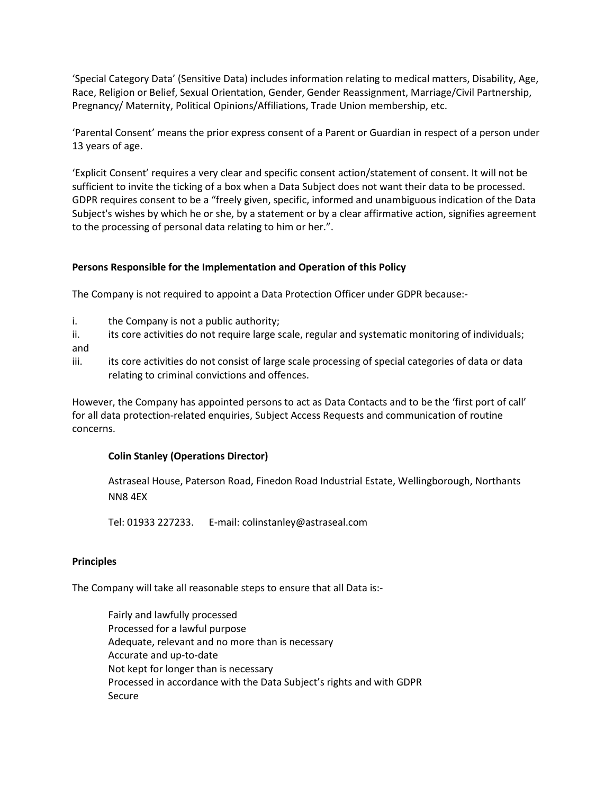'Special Category Data' (Sensitive Data) includes information relating to medical matters, Disability, Age, Race, Religion or Belief, Sexual Orientation, Gender, Gender Reassignment, Marriage/Civil Partnership, Pregnancy/ Maternity, Political Opinions/Affiliations, Trade Union membership, etc.

'Parental Consent' means the prior express consent of a Parent or Guardian in respect of a person under 13 years of age.

'Explicit Consent' requires a very clear and specific consent action/statement of consent. It will not be sufficient to invite the ticking of a box when a Data Subject does not want their data to be processed. GDPR requires consent to be a "freely given, specific, informed and unambiguous indication of the Data Subject's wishes by which he or she, by a statement or by a clear affirmative action, signifies agreement to the processing of personal data relating to him or her.".

# **Persons Responsible for the Implementation and Operation of this Policy**

The Company is not required to appoint a Data Protection Officer under GDPR because:-

- i. the Company is not a public authority;
- ii. its core activities do not require large scale, regular and systematic monitoring of individuals; and
- iii. its core activities do not consist of large scale processing of special categories of data or data relating to criminal convictions and offences.

However, the Company has appointed persons to act as Data Contacts and to be the 'first port of call' for all data protection-related enquiries, Subject Access Requests and communication of routine concerns.

# **Colin Stanley (Operations Director)**

Astraseal House, Paterson Road, Finedon Road Industrial Estate, Wellingborough, Northants NN8 4EX

Tel: 01933 227233. E-mail: colinstanley@astraseal.com

# **Principles**

The Company will take all reasonable steps to ensure that all Data is:-

Fairly and lawfully processed Processed for a lawful purpose Adequate, relevant and no more than is necessary Accurate and up-to-date Not kept for longer than is necessary Processed in accordance with the Data Subject's rights and with GDPR Secure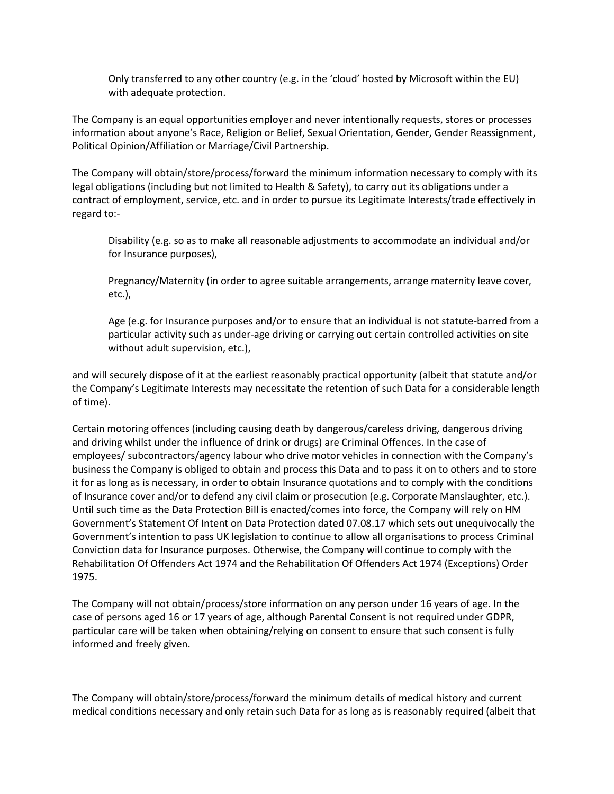Only transferred to any other country (e.g. in the 'cloud' hosted by Microsoft within the EU) with adequate protection.

The Company is an equal opportunities employer and never intentionally requests, stores or processes information about anyone's Race, Religion or Belief, Sexual Orientation, Gender, Gender Reassignment, Political Opinion/Affiliation or Marriage/Civil Partnership.

The Company will obtain/store/process/forward the minimum information necessary to comply with its legal obligations (including but not limited to Health & Safety), to carry out its obligations under a contract of employment, service, etc. and in order to pursue its Legitimate Interests/trade effectively in regard to:-

Disability (e.g. so as to make all reasonable adjustments to accommodate an individual and/or for Insurance purposes),

Pregnancy/Maternity (in order to agree suitable arrangements, arrange maternity leave cover, etc.),

Age (e.g. for Insurance purposes and/or to ensure that an individual is not statute-barred from a particular activity such as under-age driving or carrying out certain controlled activities on site without adult supervision, etc.),

and will securely dispose of it at the earliest reasonably practical opportunity (albeit that statute and/or the Company's Legitimate Interests may necessitate the retention of such Data for a considerable length of time).

Certain motoring offences (including causing death by dangerous/careless driving, dangerous driving and driving whilst under the influence of drink or drugs) are Criminal Offences. In the case of employees/ subcontractors/agency labour who drive motor vehicles in connection with the Company's business the Company is obliged to obtain and process this Data and to pass it on to others and to store it for as long as is necessary, in order to obtain Insurance quotations and to comply with the conditions of Insurance cover and/or to defend any civil claim or prosecution (e.g. Corporate Manslaughter, etc.). Until such time as the Data Protection Bill is enacted/comes into force, the Company will rely on HM Government's Statement Of Intent on Data Protection dated 07.08.17 which sets out unequivocally the Government's intention to pass UK legislation to continue to allow all organisations to process Criminal Conviction data for Insurance purposes. Otherwise, the Company will continue to comply with the Rehabilitation Of Offenders Act 1974 and the Rehabilitation Of Offenders Act 1974 (Exceptions) Order 1975.

The Company will not obtain/process/store information on any person under 16 years of age. In the case of persons aged 16 or 17 years of age, although Parental Consent is not required under GDPR, particular care will be taken when obtaining/relying on consent to ensure that such consent is fully informed and freely given.

The Company will obtain/store/process/forward the minimum details of medical history and current medical conditions necessary and only retain such Data for as long as is reasonably required (albeit that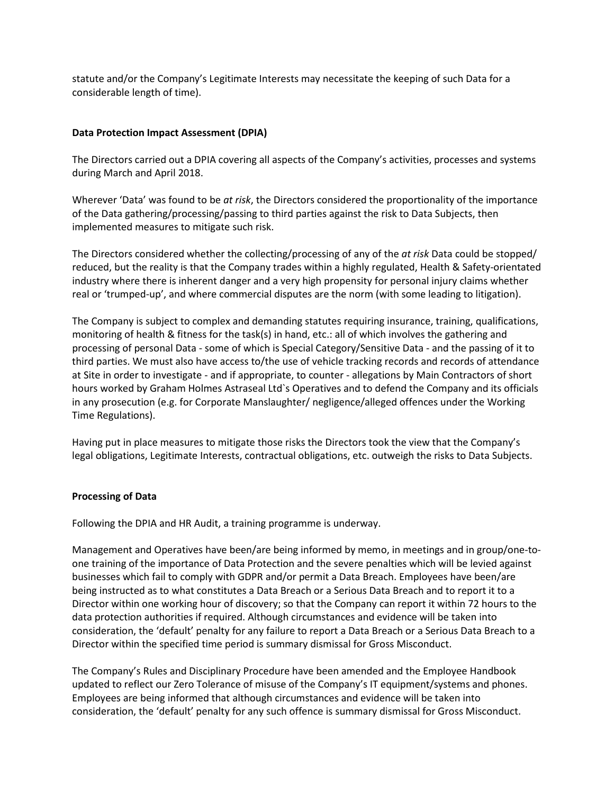statute and/or the Company's Legitimate Interests may necessitate the keeping of such Data for a considerable length of time).

# **Data Protection Impact Assessment (DPIA)**

The Directors carried out a DPIA covering all aspects of the Company's activities, processes and systems during March and April 2018.

Wherever 'Data' was found to be *at risk*, the Directors considered the proportionality of the importance of the Data gathering/processing/passing to third parties against the risk to Data Subjects, then implemented measures to mitigate such risk.

The Directors considered whether the collecting/processing of any of the *at risk* Data could be stopped/ reduced, but the reality is that the Company trades within a highly regulated, Health & Safety-orientated industry where there is inherent danger and a very high propensity for personal injury claims whether real or 'trumped-up', and where commercial disputes are the norm (with some leading to litigation).

The Company is subject to complex and demanding statutes requiring insurance, training, qualifications, monitoring of health & fitness for the task(s) in hand, etc.: all of which involves the gathering and processing of personal Data - some of which is Special Category/Sensitive Data - and the passing of it to third parties. We must also have access to/the use of vehicle tracking records and records of attendance at Site in order to investigate - and if appropriate, to counter - allegations by Main Contractors of short hours worked by Graham Holmes Astraseal Ltd`s Operatives and to defend the Company and its officials in any prosecution (e.g. for Corporate Manslaughter/ negligence/alleged offences under the Working Time Regulations).

Having put in place measures to mitigate those risks the Directors took the view that the Company's legal obligations, Legitimate Interests, contractual obligations, etc. outweigh the risks to Data Subjects.

#### **Processing of Data**

Following the DPIA and HR Audit, a training programme is underway.

Management and Operatives have been/are being informed by memo, in meetings and in group/one-toone training of the importance of Data Protection and the severe penalties which will be levied against businesses which fail to comply with GDPR and/or permit a Data Breach. Employees have been/are being instructed as to what constitutes a Data Breach or a Serious Data Breach and to report it to a Director within one working hour of discovery; so that the Company can report it within 72 hours to the data protection authorities if required. Although circumstances and evidence will be taken into consideration, the 'default' penalty for any failure to report a Data Breach or a Serious Data Breach to a Director within the specified time period is summary dismissal for Gross Misconduct.

The Company's Rules and Disciplinary Procedure have been amended and the Employee Handbook updated to reflect our Zero Tolerance of misuse of the Company's IT equipment/systems and phones. Employees are being informed that although circumstances and evidence will be taken into consideration, the 'default' penalty for any such offence is summary dismissal for Gross Misconduct.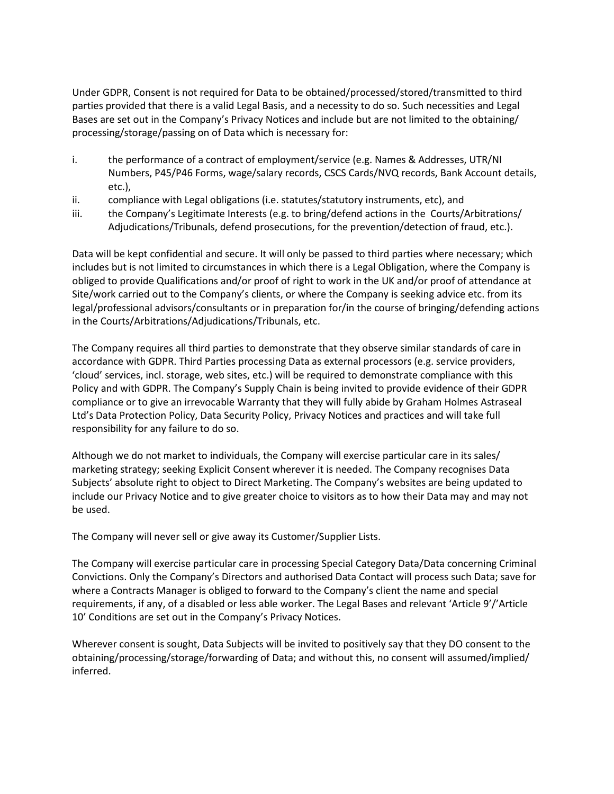Under GDPR, Consent is not required for Data to be obtained/processed/stored/transmitted to third parties provided that there is a valid Legal Basis, and a necessity to do so. Such necessities and Legal Bases are set out in the Company's Privacy Notices and include but are not limited to the obtaining/ processing/storage/passing on of Data which is necessary for:

- i. the performance of a contract of employment/service (e.g. Names & Addresses, UTR/NI Numbers, P45/P46 Forms, wage/salary records, CSCS Cards/NVQ records, Bank Account details, etc.),
- ii. compliance with Legal obligations (i.e. statutes/statutory instruments, etc), and
- iii. the Company's Legitimate Interests (e.g. to bring/defend actions in the Courts/Arbitrations/ Adjudications/Tribunals, defend prosecutions, for the prevention/detection of fraud, etc.).

Data will be kept confidential and secure. It will only be passed to third parties where necessary; which includes but is not limited to circumstances in which there is a Legal Obligation, where the Company is obliged to provide Qualifications and/or proof of right to work in the UK and/or proof of attendance at Site/work carried out to the Company's clients, or where the Company is seeking advice etc. from its legal/professional advisors/consultants or in preparation for/in the course of bringing/defending actions in the Courts/Arbitrations/Adjudications/Tribunals, etc.

The Company requires all third parties to demonstrate that they observe similar standards of care in accordance with GDPR. Third Parties processing Data as external processors (e.g. service providers, 'cloud' services, incl. storage, web sites, etc.) will be required to demonstrate compliance with this Policy and with GDPR. The Company's Supply Chain is being invited to provide evidence of their GDPR compliance or to give an irrevocable Warranty that they will fully abide by Graham Holmes Astraseal Ltd's Data Protection Policy, Data Security Policy, Privacy Notices and practices and will take full responsibility for any failure to do so.

Although we do not market to individuals, the Company will exercise particular care in its sales/ marketing strategy; seeking Explicit Consent wherever it is needed. The Company recognises Data Subjects' absolute right to object to Direct Marketing. The Company's websites are being updated to include our Privacy Notice and to give greater choice to visitors as to how their Data may and may not be used.

The Company will never sell or give away its Customer/Supplier Lists.

The Company will exercise particular care in processing Special Category Data/Data concerning Criminal Convictions. Only the Company's Directors and authorised Data Contact will process such Data; save for where a Contracts Manager is obliged to forward to the Company's client the name and special requirements, if any, of a disabled or less able worker. The Legal Bases and relevant 'Article 9'/'Article 10' Conditions are set out in the Company's Privacy Notices.

Wherever consent is sought, Data Subjects will be invited to positively say that they DO consent to the obtaining/processing/storage/forwarding of Data; and without this, no consent will assumed/implied/ inferred.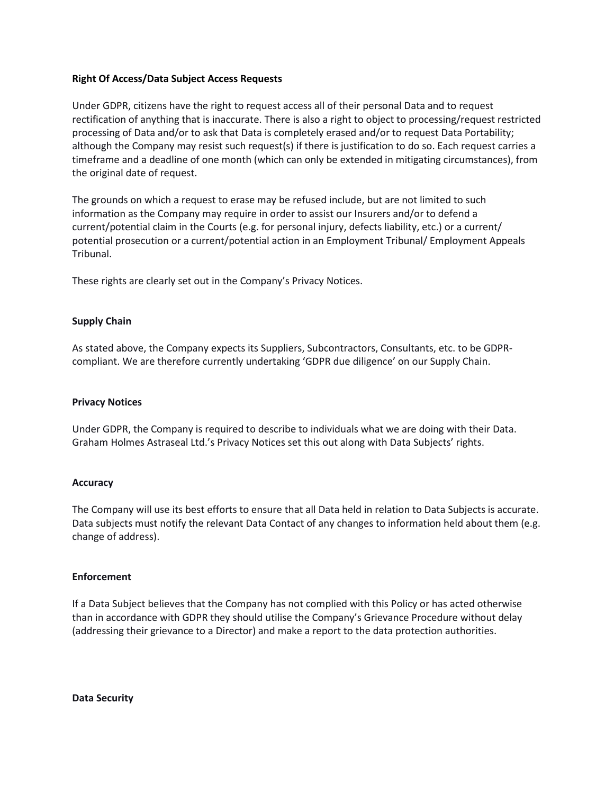#### **Right Of Access/Data Subject Access Requests**

Under GDPR, citizens have the right to request access all of their personal Data and to request rectification of anything that is inaccurate. There is also a right to object to processing/request restricted processing of Data and/or to ask that Data is completely erased and/or to request Data Portability; although the Company may resist such request(s) if there is justification to do so. Each request carries a timeframe and a deadline of one month (which can only be extended in mitigating circumstances), from the original date of request.

The grounds on which a request to erase may be refused include, but are not limited to such information as the Company may require in order to assist our Insurers and/or to defend a current/potential claim in the Courts (e.g. for personal injury, defects liability, etc.) or a current/ potential prosecution or a current/potential action in an Employment Tribunal/ Employment Appeals Tribunal.

These rights are clearly set out in the Company's Privacy Notices.

#### **Supply Chain**

As stated above, the Company expects its Suppliers, Subcontractors, Consultants, etc. to be GDPRcompliant. We are therefore currently undertaking 'GDPR due diligence' on our Supply Chain.

#### **Privacy Notices**

Under GDPR, the Company is required to describe to individuals what we are doing with their Data. Graham Holmes Astraseal Ltd.'s Privacy Notices set this out along with Data Subjects' rights.

#### **Accuracy**

The Company will use its best efforts to ensure that all Data held in relation to Data Subjects is accurate. Data subjects must notify the relevant Data Contact of any changes to information held about them (e.g. change of address).

#### **Enforcement**

If a Data Subject believes that the Company has not complied with this Policy or has acted otherwise than in accordance with GDPR they should utilise the Company's Grievance Procedure without delay (addressing their grievance to a Director) and make a report to the data protection authorities.

**Data Security**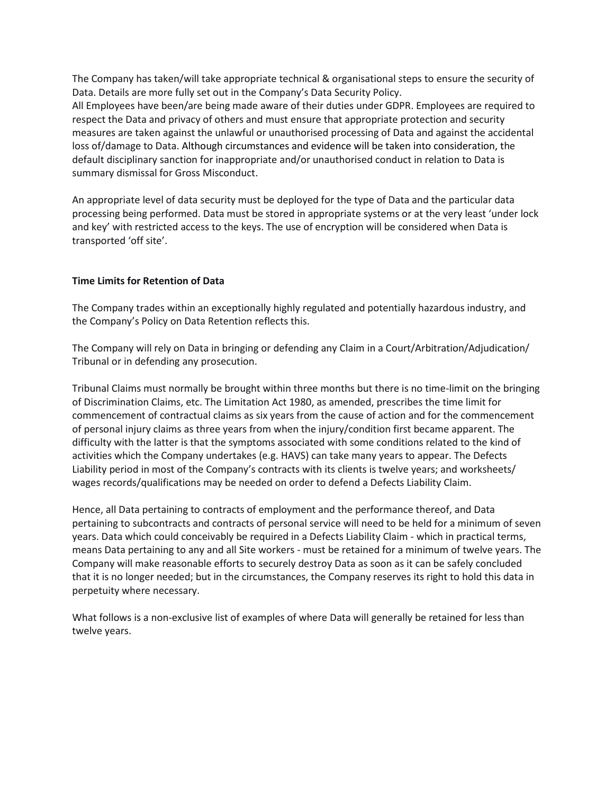The Company has taken/will take appropriate technical & organisational steps to ensure the security of Data. Details are more fully set out in the Company's Data Security Policy.

All Employees have been/are being made aware of their duties under GDPR. Employees are required to respect the Data and privacy of others and must ensure that appropriate protection and security measures are taken against the unlawful or unauthorised processing of Data and against the accidental loss of/damage to Data. Although circumstances and evidence will be taken into consideration, the default disciplinary sanction for inappropriate and/or unauthorised conduct in relation to Data is summary dismissal for Gross Misconduct.

An appropriate level of data security must be deployed for the type of Data and the particular data processing being performed. Data must be stored in appropriate systems or at the very least 'under lock and key' with restricted access to the keys. The use of encryption will be considered when Data is transported 'off site'.

#### **Time Limits for Retention of Data**

The Company trades within an exceptionally highly regulated and potentially hazardous industry, and the Company's Policy on Data Retention reflects this.

The Company will rely on Data in bringing or defending any Claim in a Court/Arbitration/Adjudication/ Tribunal or in defending any prosecution.

Tribunal Claims must normally be brought within three months but there is no time-limit on the bringing of Discrimination Claims, etc. The Limitation Act 1980, as amended, prescribes the time limit for commencement of contractual claims as six years from the cause of action and for the commencement of personal injury claims as three years from when the injury/condition first became apparent. The difficulty with the latter is that the symptoms associated with some conditions related to the kind of activities which the Company undertakes (e.g. HAVS) can take many years to appear. The Defects Liability period in most of the Company's contracts with its clients is twelve years; and worksheets/ wages records/qualifications may be needed on order to defend a Defects Liability Claim.

Hence, all Data pertaining to contracts of employment and the performance thereof, and Data pertaining to subcontracts and contracts of personal service will need to be held for a minimum of seven years. Data which could conceivably be required in a Defects Liability Claim - which in practical terms, means Data pertaining to any and all Site workers - must be retained for a minimum of twelve years. The Company will make reasonable efforts to securely destroy Data as soon as it can be safely concluded that it is no longer needed; but in the circumstances, the Company reserves its right to hold this data in perpetuity where necessary.

What follows is a non-exclusive list of examples of where Data will generally be retained for less than twelve years.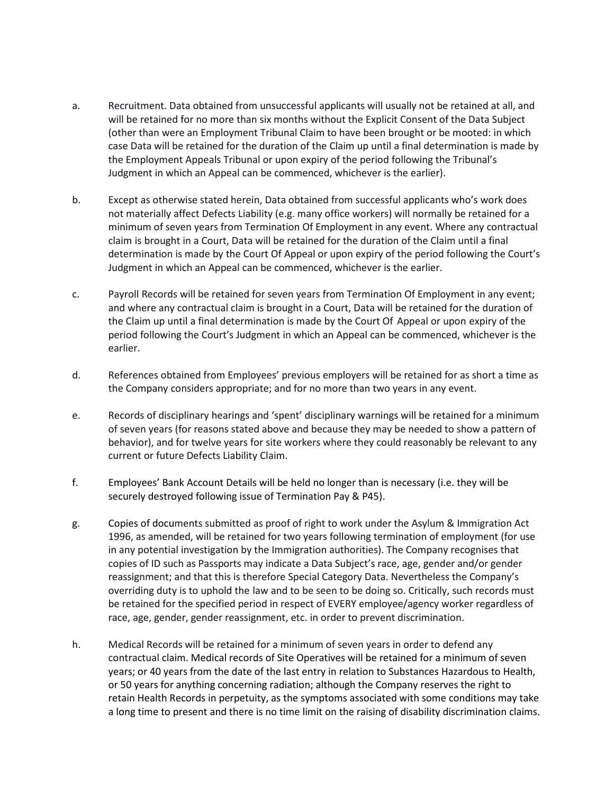- a. Recruitment. Data obtained from unsuccessful applicants will usually not be retained at all, and will be retained for no more than six months without the Explicit Consent of the Data Subject (other than were an Employment Tribunal Claim to have been brought or be mooted: in which case Data will be retained for the duration of the Claim up until a final determination is made by the Employment Appeals Tribunal or upon expiry of the period following the Tribunal's Judgment in which an Appeal can be commenced, whichever is the earlier).
- b. Except as otherwise stated herein, Data obtained from successful applicants who's work does not materially affect Defects Liability (e.g. many office workers) will normally be retained for a minimum of seven years from Termination Of Employment in any event. Where any contractual claim is brought in a Court, Data will be retained for the duration of the Claim until a final determination is made by the Court Of Appeal or upon expiry of the period following the Court's Judgment in which an Appeal can be commenced, whichever is the earlier.
- c. Payroll Records will be retained for seven years from Termination Of Employment in any event; and where any contractual claim is brought in a Court, Data will be retained for the duration of the Claim up until a final determination is made by the Court Of Appeal or upon expiry of the period following the Court's Judgment in which an Appeal can be commenced, whichever is the earlier.
- d. References obtained from Employees' previous employers will be retained for as short a time as the Company considers appropriate; and for no more than two years in any event.
- e. Records of disciplinary hearings and 'spent' disciplinary warnings will be retained for a minimum of seven years (for reasons stated above and because they may be needed to show a pattern of behavior), and for twelve years for site workers where they could reasonably be relevant to any current or future Defects Liability Claim.
- f. Employees' Bank Account Details will be held no longer than is necessary (i.e. they will be securely destroyed following issue of Termination Pay & P45).
- g. Copies of documents submitted as proof of right to work under the Asylum & Immigration Act 1996, as amended, will be retained for two years following termination of employment (for use in any potential investigation by the Immigration authorities). The Company recognises that copies of ID such as Passports may indicate a Data Subject's race, age, gender and/or gender reassignment; and that this is therefore Special Category Data. Nevertheless the Company's overriding duty is to uphold the law and to be seen to be doing so. Critically, such records must be retained for the specified period in respect of EVERY employee/agency worker regardless of race, age, gender, gender reassignment, etc. in order to prevent discrimination.
- h. Medical Records will be retained for a minimum of seven years in order to defend any contractual claim. Medical records of Site Operatives will be retained for a minimum of seven years; or 40 years from the date of the last entry in relation to Substances Hazardous to Health, or 50 years for anything concerning radiation; although the Company reserves the right to retain Health Records in perpetuity, as the symptoms associated with some conditions may take a long time to present and there is no time limit on the raising of disability discrimination claims.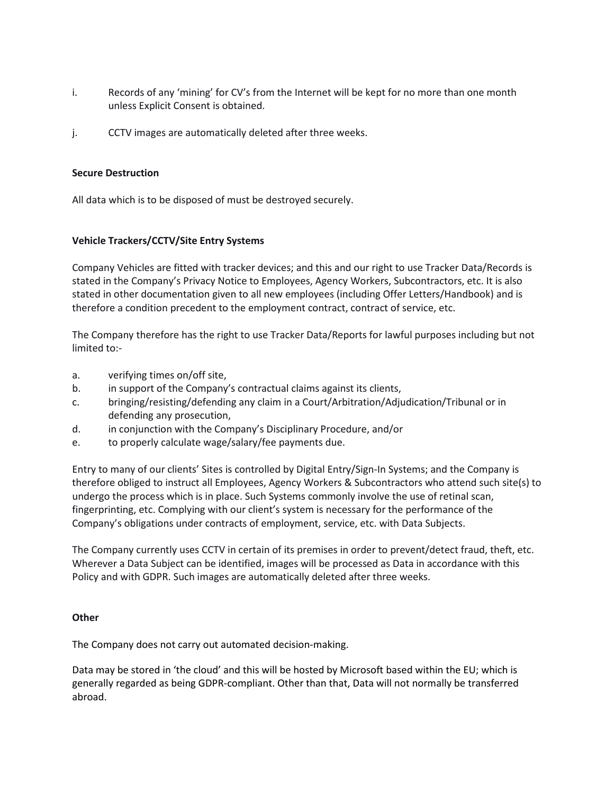- i. Records of any 'mining' for CV's from the Internet will be kept for no more than one month unless Explicit Consent is obtained.
- j. CCTV images are automatically deleted after three weeks.

#### **Secure Destruction**

All data which is to be disposed of must be destroyed securely.

# **Vehicle Trackers/CCTV/Site Entry Systems**

Company Vehicles are fitted with tracker devices; and this and our right to use Tracker Data/Records is stated in the Company's Privacy Notice to Employees, Agency Workers, Subcontractors, etc. It is also stated in other documentation given to all new employees (including Offer Letters/Handbook) and is therefore a condition precedent to the employment contract, contract of service, etc.

The Company therefore has the right to use Tracker Data/Reports for lawful purposes including but not limited to:-

- a. verifying times on/off site,
- b. in support of the Company's contractual claims against its clients,
- c. bringing/resisting/defending any claim in a Court/Arbitration/Adjudication/Tribunal or in defending any prosecution,
- d. in conjunction with the Company's Disciplinary Procedure, and/or
- e. to properly calculate wage/salary/fee payments due.

Entry to many of our clients' Sites is controlled by Digital Entry/Sign-In Systems; and the Company is therefore obliged to instruct all Employees, Agency Workers & Subcontractors who attend such site(s) to undergo the process which is in place. Such Systems commonly involve the use of retinal scan, fingerprinting, etc. Complying with our client's system is necessary for the performance of the Company's obligations under contracts of employment, service, etc. with Data Subjects.

The Company currently uses CCTV in certain of its premises in order to prevent/detect fraud, theft, etc. Wherever a Data Subject can be identified, images will be processed as Data in accordance with this Policy and with GDPR. Such images are automatically deleted after three weeks.

#### **Other**

The Company does not carry out automated decision-making.

Data may be stored in 'the cloud' and this will be hosted by Microsoft based within the EU; which is generally regarded as being GDPR-compliant. Other than that, Data will not normally be transferred abroad.